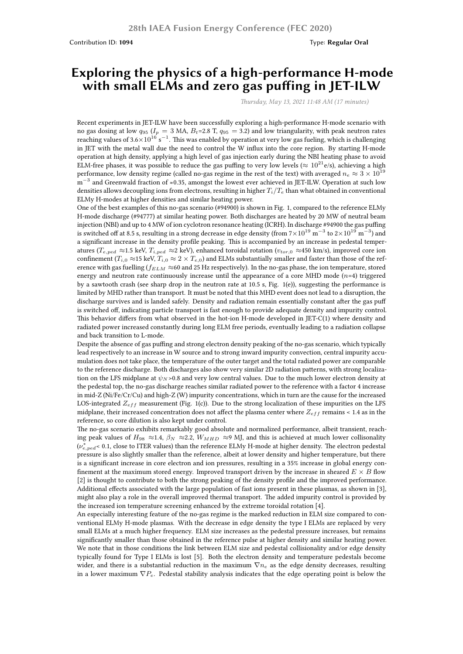Contribution ID: **1094** Type: **Regular Oral**

## **Exploring the physics of a high-performance H-mode with small ELMs and zero gas puffing in JET-ILW**

*Thursday, May 13, 2021 11:48 AM (17 minutes)*

Recent experiments in JET-ILW have been successfully exploring a high-performance H-mode scenario with no gas dosing at low  $q_{95}$  ( $I_p = 3$  MA,  $B_t = 2.8$  T,  $q_{95} = 3.2$ ) and low triangularity, with peak neutron rates reaching values of 3.6×10<sup>16</sup> s<sup>−1</sup>. This was enabled by operation at very low gas fueling, which is challenging in JET with the metal wall due the need to control the W influx into the core region. By starting H-mode operation at high density, applying a high level of gas injection early during the NBI heating phase to avoid ELM-free phases, it was possible to reduce the gas puffing to very low levels ( $\approx 10^{21}$ e/s), achieving a high performance, low density regime (called no-gas regime in the rest of the text) with averaged  $n_e \approx 3 \times 10^{19}$ m<sup>−3</sup> and Greenwald fraction of ≈0.35, amongst the lowest ever achieved in JET-ILW. Operation at such low densities allows decoupling ions from electrons, resulting in higher *Ti*/*T<sup>e</sup>* than what obtained in conventional ELMy H-modes at higher densities and similar heating power.

One of the best examples of this no-gas scenario (#94900) is shown in Fig. 1, compared to the reference ELMy H-mode discharge (#94777) at similar heating power. Both discharges are heated by 20 MW of neutral beam injection (NBI) and up to 4 MW of ion cyclotron resonance heating (ICRH). In discharge #94900 the gas puffing is switched off at 8.5 s, resulting in a strong decrease in edge density (from  $7\times10^{19}$  m<sup>-3</sup> to  $2\times10^{19}$  m<sup>-3</sup>) and a significant increase in the density profile peaking. This is accompanied by an increase in pedestal temperatures ( $T_{e,ped} \approx 1.5$  keV,  $T_{i,ped} \approx 2$  keV), enhanced toroidal rotation ( $v_{tor,0} \approx 450$  km/s), improved core ion confinement  $(T_{i,0} \approx 15 \text{ keV}, T_{i,0} \approx 2 \times T_{e,0})$  and ELMs substantially smaller and faster than those of the reference with gas fuelling (*fELM ≈*60 and 25 Hz respectively). In the no-gas phase, the ion temperature, stored energy and neutron rate continuously increase until the appearance of a core MHD mode (*n*=4) triggered by a sawtooth crash (see sharp drop in the neutron rate at 10.5 s, Fig. 1(e)), suggesting the performance is limited by MHD rather than transport. It must be noted that this MHD event does not lead to a disruption, the discharge survives and is landed safely. Density and radiation remain essentially constant after the gas puff is switched off, indicating particle transport is fast enough to provide adequate density and impurity control. This behavior differs from what observed in the hot-ion H-mode developed in JET-C(1) where density and radiated power increased constantly during long ELM free periods, eventually leading to a radiation collapse and back transition to L-mode.

Despite the absence of gas puffing and strong electron density peaking of the no-gas scenario, which typically lead respectively to an increase in W source and to strong inward impurity convection, central impurity accumulation does not take place, the temperature of the outer target and the total radiated power are comparable to the reference discharge. Both discharges also show very similar 2D radiation patterns, with strong localization on the LFS midplane at *ψ<sup>N</sup>* >0.8 and very low central values. Due to the much lower electron density at the pedestal top, the no-gas discharge reaches similar radiated power to the reference with a factor 4 increase in mid-Z (Ni/Fe/Cr/Cu) and high-Z (W) impurity concentrations, which in turn are the cause for the increased LOS-integrated *Zeff* measurement (Fig. 1(c)). Due to the strong localization of these impurities on the LFS midplane, their increased concentration does not affect the plasma center where *Zeff* remains < 1.4 as in the reference, so core dilution is also kept under control.

The no-gas scenario exhibits remarkably good absolute and normalized performance, albeit transient, reaching peak values of  $H_{98} \approx 1.4$ ,  $\beta_N \approx 2.2$ ,  $W_{MHD} \approx 9$  MJ, and this is achieved at much lower collisonality (*ν ∗ e,ped*< 0.1, close to ITER values) than the reference ELMy H-mode at higher density. The electron pedestal pressure is also slightly smaller than the reference, albeit at lower density and higher temperature, but there is a significant increase in core electron and ion pressures, resulting in a 35% increase in global energy confinement at the maximum stored energy. Improved transport driven by the increase in sheared  $E \times B$  flow [2] is thought to contribute to both the strong peaking of the density profile and the improved performance. Additional effects associated with the large population of fast ions present in these plasmas, as shown in [3], might also play a role in the overall improved thermal transport. The added impurity control is provided by the increased ion temperature screening enhanced by the extreme toroidal rotation [4].

An especially interesting feature of the no-gas regime is the marked reduction in ELM size compared to conventional ELMy H-mode plasmas. With the decrease in edge density the type I ELMs are replaced by very small ELMs at a much higher frequency. ELM size increases as the pedestal pressure increases, but remains significantly smaller than those obtained in the reference pulse at higher density and similar heating power. We note that in those conditions the link between ELM size and pedestal collisionality and/or edge density typically found for Type I ELMs is lost [5]. Both the electron density and temperature pedestals become wider, and there is a substantial reduction in the maximum *∇n<sup>e</sup>* as the edge density decreases, resulting in a lower maximum *∇Pe*. Pedestal stability analysis indicates that the edge operating point is below the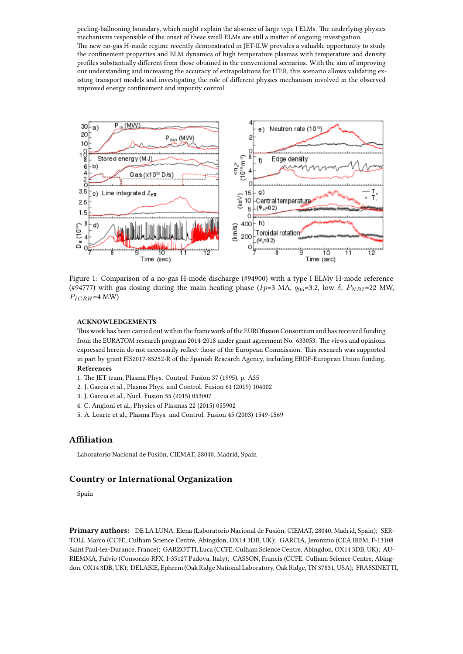peeling-ballooning boundary, which might explain the absence of large type I ELMs. The underlying physics mechanisms responsible of the onset of these small ELMs are still a matter of ongoing investigation. The new no-gas H-mode regime recently demonstrated in JET-ILW provides a valuable opportunity to study the confinement properties and ELM dynamics of high temperature plasmas with temperature and density profiles substantially different from those obtained in the conventional scenarios. With the aim of improving our understanding and increasing the accuracy of extrapolations for ITER, this scenario allows validating existing transport models and investigating the role of different physics mechanism involved in the observed improved energy confinement and impurity control.



Figure 1: Comparison of a no-gas H-mode discharge (#94900) with a type I ELMy H-mode reference (#94777) with gas dosing during the main heating phase ( $Ip=3$  MA,  $q_{95}=3.2$ , low  $\delta$ ,  $P_{NB}I=22$  MW,  $P_{ICRH}$ =4 MW)

## **ACKNOWLEDGEMENTS**

This work has been carried out within the framework of the EUROfusion Consortium and has received funding from the EURATOM research program 2014-2018 under grant agreement No. 633053. The views and opinions expressed herein do not necessarily reflect those of the European Commission. This research was supported in part by grant FIS2017-85252-R of the Spanish Research Agency, including ERDF-European Union funding. **References**

- 1. The JET team, Plasma Phys. Control. Fusion 37 (1995), p. A35
- 2. J. Garcia et al., Plasma Phys. and Control. Fusion 61 (2019) 104002
- 3. J. Garcia et al., Nucl. Fusion 55 (2015) 053007
- 4. C. Angioni et al., Physics of Plasmas 22 (2015) 055902
- 5. A. Loarte et al., Plasma Phys. and Control. Fusion 45 (2003) 1549-1569

## **Affiliation**

Laboratorio Nacional de Fusión, CIEMAT, 28040, Madrid, Spain

## **Country or International Organization**

Spain

**Primary authors:** DE LA LUNA, Elena (Laboratorio Nacional de Fusión, CIEMAT, 28040, Madrid, Spain); SER-TOLI, Marco (CCFE, Culham Science Centre, Abingdon, OX14 3DB, UK); GARCIA, Jeronimo (CEA IRFM, F-13108 Saint Paul-lez-Durance, France); GARZOTTI, Luca (CCFE, Culham Science Centre, Abingdon, OX14 3DB, UK); AU-RIEMMA, Fulvio (Consorzio RFX, I-35127 Padova, Italy); CASSON, Francis (CCFE, Culham Science Centre, Abingdon, OX14 3DB, UK); DELABIE, Ephrem (Oak Ridge National Laboratory, Oak Ridge, TN 37831, USA); FRASSINETTI,